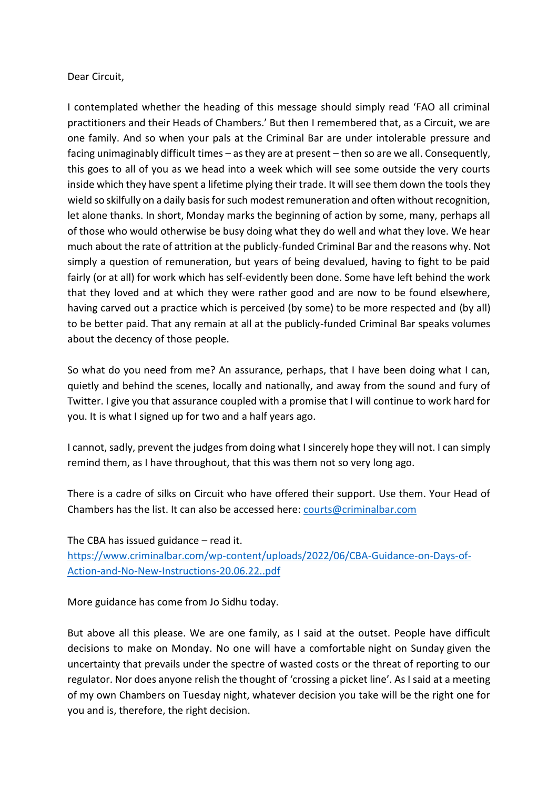## Dear Circuit,

I contemplated whether the heading of this message should simply read 'FAO all criminal practitioners and their Heads of Chambers.' But then I remembered that, as a Circuit, we are one family. And so when your pals at the Criminal Bar are under intolerable pressure and facing unimaginably difficult times – as they are at present – then so are we all. Consequently, this goes to all of you as we head into a week which will see some outside the very courts inside which they have spent a lifetime plying their trade. It will see them down the tools they wield so skilfully on a daily basis for such modest remuneration and often without recognition, let alone thanks. In short, Monday marks the beginning of action by some, many, perhaps all of those who would otherwise be busy doing what they do well and what they love. We hear much about the rate of attrition at the publicly-funded Criminal Bar and the reasons why. Not simply a question of remuneration, but years of being devalued, having to fight to be paid fairly (or at all) for work which has self-evidently been done. Some have left behind the work that they loved and at which they were rather good and are now to be found elsewhere, having carved out a practice which is perceived (by some) to be more respected and (by all) to be better paid. That any remain at all at the publicly-funded Criminal Bar speaks volumes about the decency of those people.

So what do you need from me? An assurance, perhaps, that I have been doing what I can, quietly and behind the scenes, locally and nationally, and away from the sound and fury of Twitter. I give you that assurance coupled with a promise that I will continue to work hard for you. It is what I signed up for two and a half years ago.

I cannot, sadly, prevent the judges from doing what I sincerely hope they will not. I can simply remind them, as I have throughout, that this was them not so very long ago.

There is a cadre of silks on Circuit who have offered their support. Use them. Your Head of Chambers has the list. It can also be accessed here: [courts@criminalbar.com](mailto:courts@criminalbar.com)

The CBA has issued guidance – read it.

[https://www.criminalbar.com/wp-content/uploads/2022/06/CBA-Guidance-on-Days-of-](https://protect-eu.mimecast.com/s/pY5ZC9DWAFApOGCP7rDl?domain=criminalbar.com)[Action-and-No-New-Instructions-20.06.22..pdf](https://protect-eu.mimecast.com/s/pY5ZC9DWAFApOGCP7rDl?domain=criminalbar.com)

More guidance has come from Jo Sidhu today.

But above all this please. We are one family, as I said at the outset. People have difficult decisions to make on Monday. No one will have a comfortable night on Sunday given the uncertainty that prevails under the spectre of wasted costs or the threat of reporting to our regulator. Nor does anyone relish the thought of 'crossing a picket line'. As I said at a meeting of my own Chambers on Tuesday night, whatever decision you take will be the right one for you and is, therefore, the right decision.